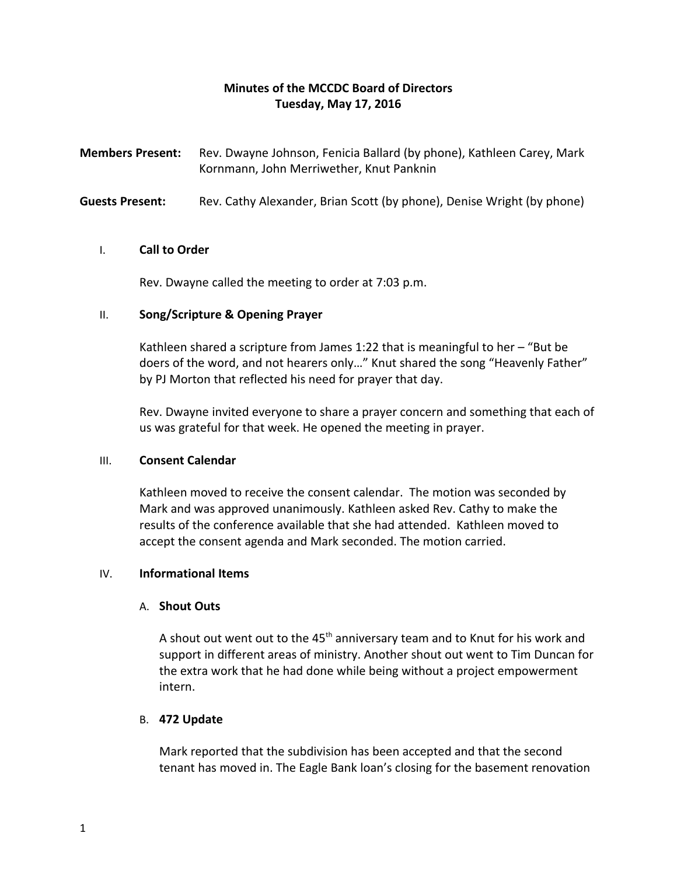# **Minutes of the MCCDC Board of Directors Tuesday, May 17, 2016**

**Members Present:** Rev. Dwayne Johnson, Fenicia Ballard (by phone), Kathleen Carey, Mark Kornmann, John Merriwether, Knut Panknin

**Guests Present:** Rev. Cathy Alexander, Brian Scott (by phone), Denise Wright (by phone)

#### I. **Call to Order**

Rev. Dwayne called the meeting to order at 7:03 p.m.

# II. **Song/Scripture & Opening Prayer**

Kathleen shared a scripture from James 1:22 that is meaningful to her – "But be doers of the word, and not hearers only…" Knut shared the song "Heavenly Father" by PJ Morton that reflected his need for prayer that day.

Rev. Dwayne invited everyone to share a prayer concern and something that each of us was grateful for that week. He opened the meeting in prayer.

# III. **Consent Calendar**

Kathleen moved to receive the consent calendar. The motion was seconded by Mark and was approved unanimously. Kathleen asked Rev. Cathy to make the results of the conference available that she had attended. Kathleen moved to accept the consent agenda and Mark seconded. The motion carried.

# IV. **Informational Items**

# A. **Shout Outs**

A shout out went out to the  $45<sup>th</sup>$  anniversary team and to Knut for his work and support in different areas of ministry. Another shout out went to Tim Duncan for the extra work that he had done while being without a project empowerment intern.

# B. **472 Update**

Mark reported that the subdivision has been accepted and that the second tenant has moved in. The Eagle Bank loan's closing for the basement renovation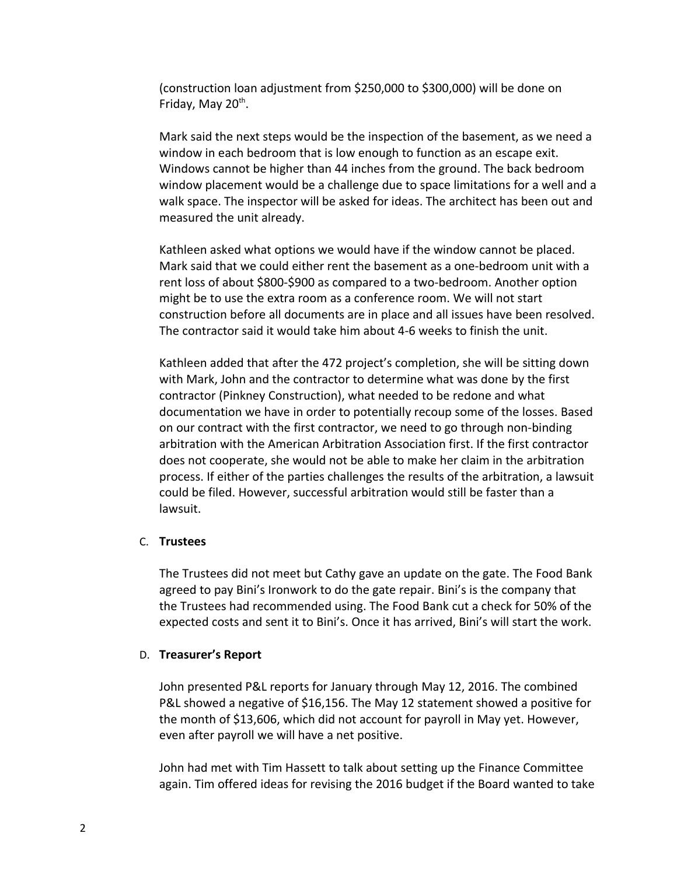(construction loan adjustment from \$250,000 to \$300,000) will be done on Friday, May 20<sup>th</sup>.

Mark said the next steps would be the inspection of the basement, as we need a window in each bedroom that is low enough to function as an escape exit. Windows cannot be higher than 44 inches from the ground. The back bedroom window placement would be a challenge due to space limitations for a well and a walk space. The inspector will be asked for ideas. The architect has been out and measured the unit already.

Kathleen asked what options we would have if the window cannot be placed. Mark said that we could either rent the basement as a one-bedroom unit with a rent loss of about \$800-\$900 as compared to a two-bedroom. Another option might be to use the extra room as a conference room. We will not start construction before all documents are in place and all issues have been resolved. The contractor said it would take him about 4-6 weeks to finish the unit.

Kathleen added that after the 472 project's completion, she will be sitting down with Mark, John and the contractor to determine what was done by the first contractor (Pinkney Construction), what needed to be redone and what documentation we have in order to potentially recoup some of the losses. Based on our contract with the first contractor, we need to go through non-binding arbitration with the American Arbitration Association first. If the first contractor does not cooperate, she would not be able to make her claim in the arbitration process. If either of the parties challenges the results of the arbitration, a lawsuit could be filed. However, successful arbitration would still be faster than a lawsuit.

#### C. **Trustees**

The Trustees did not meet but Cathy gave an update on the gate. The Food Bank agreed to pay Bini's Ironwork to do the gate repair. Bini's is the company that the Trustees had recommended using. The Food Bank cut a check for 50% of the expected costs and sent it to Bini's. Once it has arrived, Bini's will start the work.

# D. **Treasurer's Report**

John presented P&L reports for January through May 12, 2016. The combined P&L showed a negative of \$16,156. The May 12 statement showed a positive for the month of \$13,606, which did not account for payroll in May yet. However, even after payroll we will have a net positive.

John had met with Tim Hassett to talk about setting up the Finance Committee again. Tim offered ideas for revising the 2016 budget if the Board wanted to take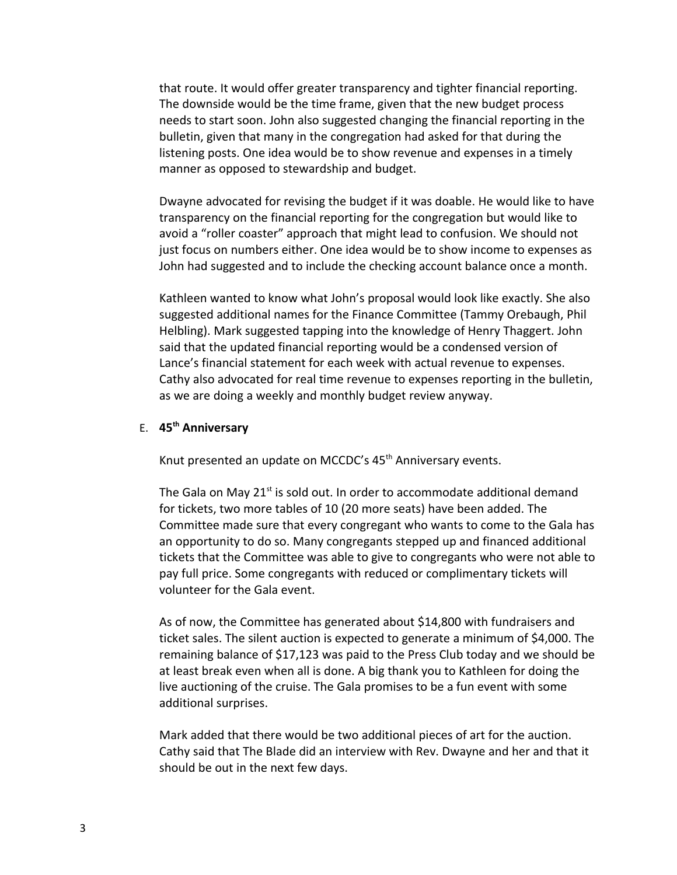that route. It would offer greater transparency and tighter financial reporting. The downside would be the time frame, given that the new budget process needs to start soon. John also suggested changing the financial reporting in the bulletin, given that many in the congregation had asked for that during the listening posts. One idea would be to show revenue and expenses in a timely manner as opposed to stewardship and budget.

Dwayne advocated for revising the budget if it was doable. He would like to have transparency on the financial reporting for the congregation but would like to avoid a "roller coaster" approach that might lead to confusion. We should not just focus on numbers either. One idea would be to show income to expenses as John had suggested and to include the checking account balance once a month.

Kathleen wanted to know what John's proposal would look like exactly. She also suggested additional names for the Finance Committee (Tammy Orebaugh, Phil Helbling). Mark suggested tapping into the knowledge of Henry Thaggert. John said that the updated financial reporting would be a condensed version of Lance's financial statement for each week with actual revenue to expenses. Cathy also advocated for real time revenue to expenses reporting in the bulletin, as we are doing a weekly and monthly budget review anyway.

# E. **45th Anniversary**

Knut presented an update on MCCDC's 45<sup>th</sup> Anniversary events.

The Gala on May 21<sup>st</sup> is sold out. In order to accommodate additional demand for tickets, two more tables of 10 (20 more seats) have been added. The Committee made sure that every congregant who wants to come to the Gala has an opportunity to do so. Many congregants stepped up and financed additional tickets that the Committee was able to give to congregants who were not able to pay full price. Some congregants with reduced or complimentary tickets will volunteer for the Gala event.

As of now, the Committee has generated about \$14,800 with fundraisers and ticket sales. The silent auction is expected to generate a minimum of \$4,000. The remaining balance of \$17,123 was paid to the Press Club today and we should be at least break even when all is done. A big thank you to Kathleen for doing the live auctioning of the cruise. The Gala promises to be a fun event with some additional surprises.

Mark added that there would be two additional pieces of art for the auction. Cathy said that The Blade did an interview with Rev. Dwayne and her and that it should be out in the next few days.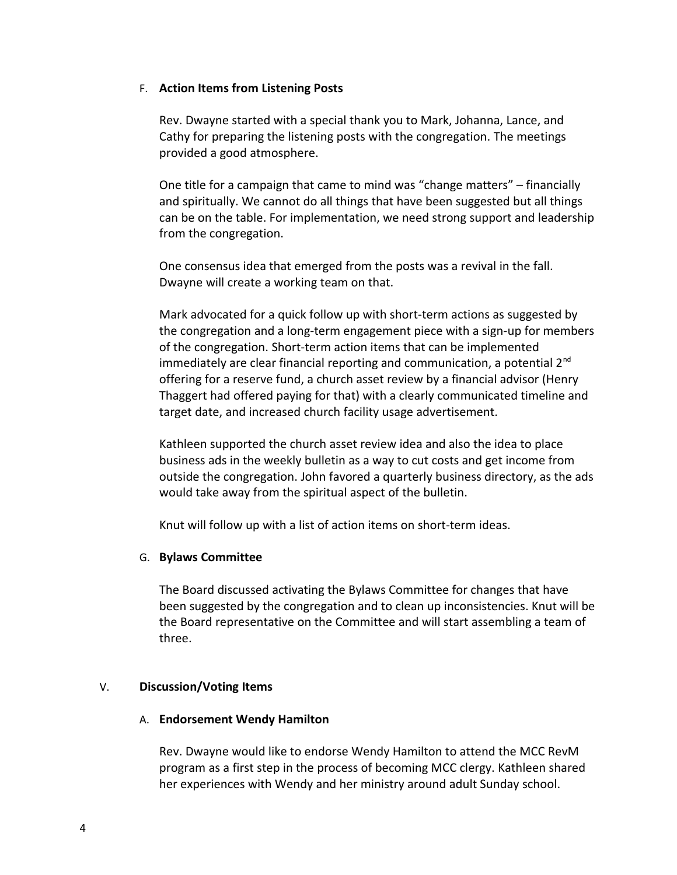#### F. **Action Items from Listening Posts**

Rev. Dwayne started with a special thank you to Mark, Johanna, Lance, and Cathy for preparing the listening posts with the congregation. The meetings provided a good atmosphere.

One title for a campaign that came to mind was "change matters" – financially and spiritually. We cannot do all things that have been suggested but all things can be on the table. For implementation, we need strong support and leadership from the congregation.

One consensus idea that emerged from the posts was a revival in the fall. Dwayne will create a working team on that.

Mark advocated for a quick follow up with short-term actions as suggested by the congregation and a long-term engagement piece with a sign-up for members of the congregation. Short-term action items that can be implemented immediately are clear financial reporting and communication, a potential  $2^{nd}$ offering for a reserve fund, a church asset review by a financial advisor (Henry Thaggert had offered paying for that) with a clearly communicated timeline and target date, and increased church facility usage advertisement.

Kathleen supported the church asset review idea and also the idea to place business ads in the weekly bulletin as a way to cut costs and get income from outside the congregation. John favored a quarterly business directory, as the ads would take away from the spiritual aspect of the bulletin.

Knut will follow up with a list of action items on short-term ideas.

# G. **Bylaws Committee**

The Board discussed activating the Bylaws Committee for changes that have been suggested by the congregation and to clean up inconsistencies. Knut will be the Board representative on the Committee and will start assembling a team of three.

# V. **Discussion/Voting Items**

# A. **Endorsement Wendy Hamilton**

Rev. Dwayne would like to endorse Wendy Hamilton to attend the MCC RevM program as a first step in the process of becoming MCC clergy. Kathleen shared her experiences with Wendy and her ministry around adult Sunday school.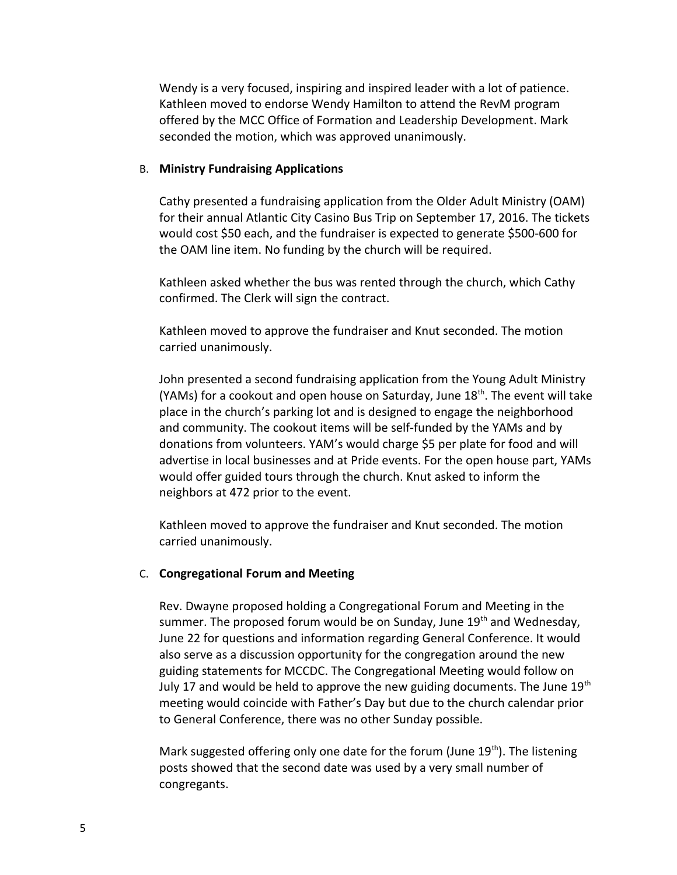Wendy is a very focused, inspiring and inspired leader with a lot of patience. Kathleen moved to endorse Wendy Hamilton to attend the RevM program offered by the MCC Office of Formation and Leadership Development. Mark seconded the motion, which was approved unanimously.

#### B. **Ministry Fundraising Applications**

Cathy presented a fundraising application from the Older Adult Ministry (OAM) for their annual Atlantic City Casino Bus Trip on September 17, 2016. The tickets would cost \$50 each, and the fundraiser is expected to generate \$500-600 for the OAM line item. No funding by the church will be required.

Kathleen asked whether the bus was rented through the church, which Cathy confirmed. The Clerk will sign the contract.

Kathleen moved to approve the fundraiser and Knut seconded. The motion carried unanimously.

John presented a second fundraising application from the Young Adult Ministry (YAMs) for a cookout and open house on Saturday, June  $18<sup>th</sup>$ . The event will take place in the church's parking lot and is designed to engage the neighborhood and community. The cookout items will be self-funded by the YAMs and by donations from volunteers. YAM's would charge \$5 per plate for food and will advertise in local businesses and at Pride events. For the open house part, YAMs would offer guided tours through the church. Knut asked to inform the neighbors at 472 prior to the event.

Kathleen moved to approve the fundraiser and Knut seconded. The motion carried unanimously.

# C. **Congregational Forum and Meeting**

Rev. Dwayne proposed holding a Congregational Forum and Meeting in the summer. The proposed forum would be on Sunday, June  $19<sup>th</sup>$  and Wednesday, June 22 for questions and information regarding General Conference. It would also serve as a discussion opportunity for the congregation around the new guiding statements for MCCDC. The Congregational Meeting would follow on July 17 and would be held to approve the new guiding documents. The June  $19<sup>th</sup>$ meeting would coincide with Father's Day but due to the church calendar prior to General Conference, there was no other Sunday possible.

Mark suggested offering only one date for the forum (June 19<sup>th</sup>). The listening posts showed that the second date was used by a very small number of congregants.